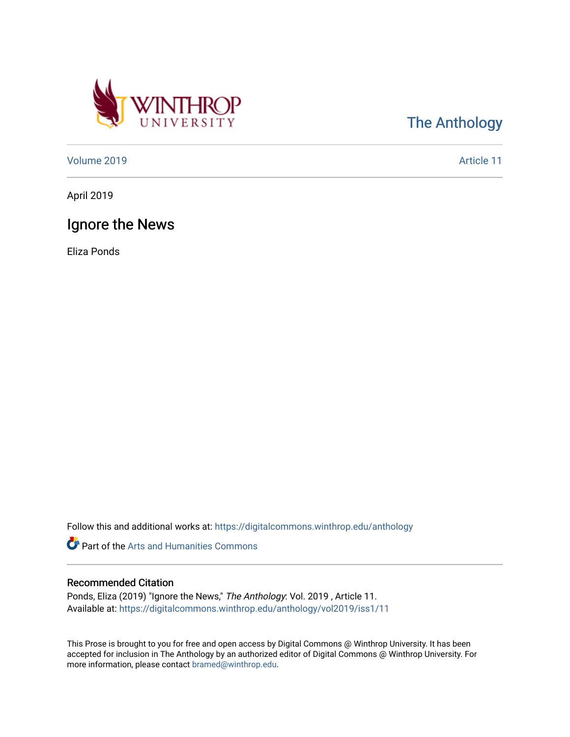

[The Anthology](https://digitalcommons.winthrop.edu/anthology) 

[Volume 2019](https://digitalcommons.winthrop.edu/anthology/vol2019) [Article 11](https://digitalcommons.winthrop.edu/anthology/vol2019/iss1/11) 

April 2019

## Ignore the News

Eliza Ponds

Follow this and additional works at: [https://digitalcommons.winthrop.edu/anthology](https://digitalcommons.winthrop.edu/anthology?utm_source=digitalcommons.winthrop.edu%2Fanthology%2Fvol2019%2Fiss1%2F11&utm_medium=PDF&utm_campaign=PDFCoverPages) 

Part of the [Arts and Humanities Commons](http://network.bepress.com/hgg/discipline/438?utm_source=digitalcommons.winthrop.edu%2Fanthology%2Fvol2019%2Fiss1%2F11&utm_medium=PDF&utm_campaign=PDFCoverPages) 

## Recommended Citation

Ponds, Eliza (2019) "Ignore the News," The Anthology: Vol. 2019 , Article 11. Available at: [https://digitalcommons.winthrop.edu/anthology/vol2019/iss1/11](https://digitalcommons.winthrop.edu/anthology/vol2019/iss1/11?utm_source=digitalcommons.winthrop.edu%2Fanthology%2Fvol2019%2Fiss1%2F11&utm_medium=PDF&utm_campaign=PDFCoverPages) 

This Prose is brought to you for free and open access by Digital Commons @ Winthrop University. It has been accepted for inclusion in The Anthology by an authorized editor of Digital Commons @ Winthrop University. For more information, please contact [bramed@winthrop.edu](mailto:bramed@winthrop.edu).